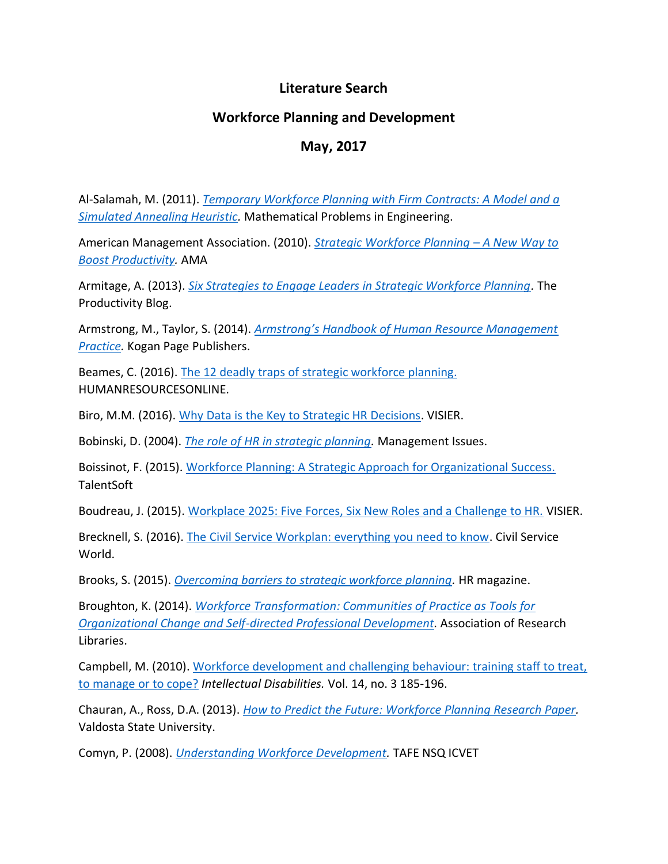## **Literature Search**

## **Workforce Planning and Development**

## **May, 2017**

Al-Salamah, M. (2011). *[Temporary Workforce Planning with Firm Contracts: A Model and a](http://www.hindawi.com/journals/mpe/2011/209693/)  [Simulated Annealing Heuristic.](http://www.hindawi.com/journals/mpe/2011/209693/)* Mathematical Problems in Engineering.

American Management Association. (2010). *[Strategic Workforce Planning](http://www.amanet.org/training/articles/Strategic-Workforce-Planning-A-New-Way-to-Boost-Productivity.aspx) – A New Way to [Boost Productivity.](http://www.amanet.org/training/articles/Strategic-Workforce-Planning-A-New-Way-to-Boost-Productivity.aspx)* AMA

Armitage, A. (2013). *[Six Strategies to Engage Leaders in Strategic Workforce Planning.](http://www.i4cp.com/productivity-blog/2013/10/24/six-strategies-to-engage-leaders-in-strategic-workforce-planning)* The Productivity Blog.

Armstrong, M., Taylor, S. (2014). *[Armstrong's Handbook of Human Resource Management](http://www.koganpageusa.com/product/Armstrongs-Handbook-of-Human-Resource-Management,2437.aspx)  [Practice.](http://www.koganpageusa.com/product/Armstrongs-Handbook-of-Human-Resource-Management,2437.aspx)* Kogan Page Publishers.

Beames, C. (2016). [The 12 deadly traps of strategic workforce planning.](http://www.humanresourcesonline.net/12-deadly-traps-strategic-workforce-planning/) HUMANRESOURCESONLINE.

Biro, M.M. (2016). [Why Data is the Key to Strategic HR Decisions.](https://www.visier.com/hr-leadership/why-data-is-the-key-to-strategic-hr-decisions/) VISIER.

Bobinski, D. (2004). *[The role of HR in strategic planning.](http://www.management-issues.com/opinion/1137/the-role-of-hr-in-strategic-planning/)* Management Issues.

Boissinot, F. (2015). [Workforce Planning: A Strategic Approach for Organizational Success.](http://www.talentsoft.com/blog/hr-best-practices/workforce-planning) **TalentSoft** 

Boudreau, J. (2015). [Workplace 2025: Five Forces, Six New Roles and a Challenge to HR.](http://www.visier.com/hr-leadership/workplace-2025-five-forces-six-new-roles-and-a-challenge-to-hr/) VISIER.

Brecknell, S. (2016). [The Civil Service Workplan: everything you need to know.](https://www.civilserviceworld.com/articles/analysis/civil-service-workforce-plan-everything-you-need-know) Civil Service World.

Brooks, S. (2015). *[Overcoming barriers to strategic workforce planning.](http://www.hrmagazine.co.uk/hro/features/1149372/-weds-overcoming-barriers-strategic-workforce-planning)* HR magazine.

Broughton, K. (2014). *[Workforce Transformation: Communities of Practice as Tools for](http://www.arl.org/focus-areas/workforce/workforce-transformation-stories/3382-workforce-transformation-communities-of-practice-as-tools-for-organizational-change-and-self-directed-professional-development#.VZay0kbLkgV)  [Organizational Change and Self-directed Professional Development.](http://www.arl.org/focus-areas/workforce/workforce-transformation-stories/3382-workforce-transformation-communities-of-practice-as-tools-for-organizational-change-and-self-directed-professional-development#.VZay0kbLkgV)* Association of Research Libraries.

Campbell, M. (2010). [Workforce development and challenging behaviour: training staff to treat,](http://www.ncbi.nlm.nih.gov/pubmed/21062856)  [to manage or to cope?](http://www.ncbi.nlm.nih.gov/pubmed/21062856) *Intellectual Disabilities.* Vol. 14, no. 3 185-196.

Chauran, A., Ross, D.A. (2013). *[How to Predict the Future: Workforce Planning Research Paper.](http://www.earthshod.com/portfolio/files/wfpresearchpaper.pdf)* Valdosta State University.

Comyn, P. (2008). *[Understanding Workforce Development.](http://lrrpublic.cli.det.nsw.edu.au/lrrSecure/Sites/Web/13289/ezine/year_2008/may/article_workforce_development.htm)* TAFE NSQ ICVET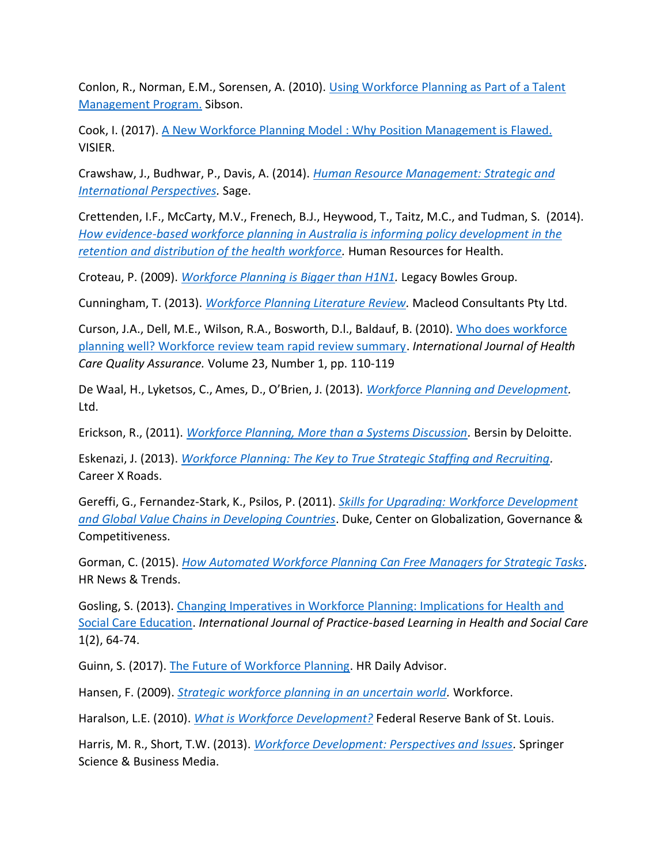Conlon, R., Norman, E.M., Sorensen, A. (2010). [Using Workforce Planning as Part of a Talent](https://www.safaribooksonline.com/library/view/the-talent-management/9780071739054/ch44.html)  [Management Program.](https://www.safaribooksonline.com/library/view/the-talent-management/9780071739054/ch44.html) Sibson.

Cook, I. (2017). [A New Workforce Planning Model](https://www.visier.com/workforce-intelligence-101/new-workforce-planning-model/) : Why Position Management is Flawed. VISIER.

Crawshaw, J., Budhwar, P., Davis, A. (2014). *[Human Resource Management: Strategic and](https://research.aston.ac.uk/portal/en/researchoutput/human-resource-management%289f6a4f83-24fb-4dfe-a87e-6dacd001e614%29.html)  [International Perspectives.](https://research.aston.ac.uk/portal/en/researchoutput/human-resource-management%289f6a4f83-24fb-4dfe-a87e-6dacd001e614%29.html)* Sage.

Crettenden, I.F., McCarty, M.V., Frenech, B.J., Heywood, T., Taitz, M.C., and Tudman, S. (2014). *[How evidence-based workforce planning in Australia is informing policy development in the](http://link.springer.com/article/10.1186%2F1478-4491-12-7)  [retention and distribution of the health workforce.](http://link.springer.com/article/10.1186%2F1478-4491-12-7)* Human Resources for Health.

Croteau, P. (2009). *[Workforce Planning is Bigger than H1N1.](http://www.legacybowes.com/talent-management/367-workforce-planning-is-bigger-than-h1n1.html)* Legacy Bowles Group.

Cunningham, T. (2013). *[Workforce Planning Literature Review.](http://www.rwwa.com.au/home/workforce-planning-literature.pdf)* Macleod Consultants Pty Ltd.

Curson, J.A., Dell, M.E., Wilson, R.A., Bosworth, D.l., Baldauf, B. (2010). [Who does workforce](http://www.ncbi.nlm.nih.gov/pubmed/21387867)  [planning well? Workforce review team rapid review summary.](http://www.ncbi.nlm.nih.gov/pubmed/21387867) *International Journal of Health Care Quality Assurance.* Volume 23, Number 1, pp. 110-119

De Waal, H., Lyketsos, C., Ames, D., O'Brien, J. (2013). *[Workforce Planning and Development.](http://onlinelibrary.wiley.com/doi/10.1002/9781118378663.ch16/summary)* Ltd.

Erickson, R., (2011). *[Workforce Planning, More than a Systems Discussion.](http://onlinelibrary.wiley.com/doi/10.1002/9781118378663.ch16/summary)* Bersin by Deloitte.

Eskenazi, J. (2013). *[Workforce Planning: The Key to True Strategic Staffing and Recruiting.](http://www.careerxroads.com/news/eskenazi.asp)* Career X Roads.

Gereffi, G., Fernandez-Stark, K., Psilos, P. (2011). *[Skills for Upgrading: Workforce Development](http://www.cggc.duke.edu/pdfs/Skills-for-Upgrading-Workforce-Development-and-GVC-in-Developing-Countries_FullBook.pdf)  [and Global Value Chains in Developing Countries](http://www.cggc.duke.edu/pdfs/Skills-for-Upgrading-Workforce-Development-and-GVC-in-Developing-Countries_FullBook.pdf)*. Duke, Center on Globalization, Governance & Competitiveness.

Gorman, C. (2015). *[How Automated Workforce Planning Can Free Managers for Strategic Tasks.](http://www.eremedia.com/tlnt/how-automated-workforce-planning-can-free-managers-for-strategic-tasks/)* HR News & Trends.

Gosling, S. (2013). [Changing Imperatives in Workforce Planning: Implications for Health and](http://journals.heacademy.ac.uk/doi/abs/10.11120/pblh.2013.00018)  [Social Care Education.](http://journals.heacademy.ac.uk/doi/abs/10.11120/pblh.2013.00018) *International Journal of Practice-based Learning in Health and Social Care*  1(2), 64-74.

Guinn, S. (2017). [The Future of Workforce Planning.](http://hrdailyadvisor.blr.com/2017/01/17/future-workforce-planning/) HR Daily Advisor.

Hansen, F. (2009). *[Strategic workforce planning in an uncertain world.](http://www.workforce.com/articles/strategic-workforce-planning-in-an-uncertain-world)* Workforce.

Haralson, L.E. (2010). *[What is Workforce Development?](https://www.stlouisfed.org/publications/bridges/spring-2010/what-is-workforce-development)* Federal Reserve Bank of St. Louis.

Harris, M. R., Short, T.W. (2013). *[Workforce Development: Perspectives and Issues.](http://www.springer.com/us/book/9789814560573)* Springer Science & Business Media.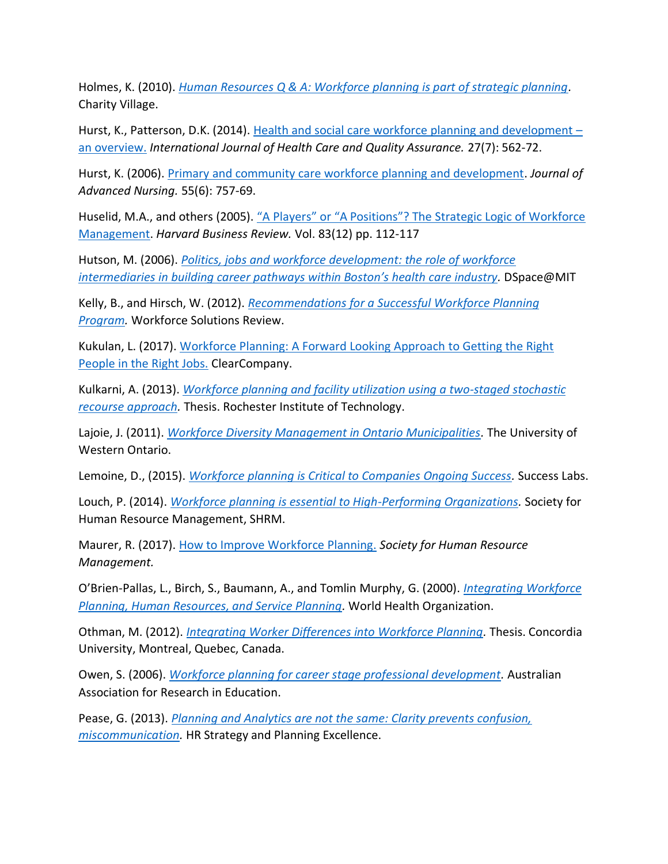Holmes, K. (2010). *[Human Resources Q & A: Workforce planning is part of strategic planning.](https://charityvillage.com/Content.aspx?topic=workforce_planning_is_part_of_strategic_planning#.VZa200bLkgV)*  Charity Village.

Hurst, K., Patterson, D.K. (2014). [Health and social care workforce planning and development](http://www.ncbi.nlm.nih.gov/pubmed/25252562) – [an overview.](http://www.ncbi.nlm.nih.gov/pubmed/25252562) *International Journal of Health Care and Quality Assurance.* 27(7): 562-72.

Hurst, K. (2006). [Primary and community care workforce planning and development.](http://www.researchgate.net/publication/6861907_Primary_and_community_care_workforce_planning_and_development) *Journal of Advanced Nursing.* 55(6): 757-69.

Huselid, M.A., and others (2005). ["A Players" or "A Positions"? The](https://hbr.org/2005/12/a-players-or-a-positions-the-strategic-logic-of-workforce-management) Strategic Logic of Workforce [Management.](https://hbr.org/2005/12/a-players-or-a-positions-the-strategic-logic-of-workforce-management) *Harvard Business Review.* Vol. 83(12) pp. 112-117

Hutson, M. (2006). *[Politics, jobs and workforce development: the role of workforce](http://dspace.mit.edu/handle/1721.1/37874)  intermediaries in buildin[g career pathways within Boston's health care industry](http://dspace.mit.edu/handle/1721.1/37874).* DSpace@MIT

Kelly, B., and Hirsch, W. (2012). *[Recommendations for a Successful Workforce Planning](http://www.mercer.com/content/dam/mercer/attachments/global/Talent/WSR_Dec11Jan12_Hirsch_and_Kelly.pdf)  [Program.](http://www.mercer.com/content/dam/mercer/attachments/global/Talent/WSR_Dec11Jan12_Hirsch_and_Kelly.pdf)* Workforce Solutions Review.

Kukulan, L. (2017). [Workforce Planning: A Forward Looking Approach](http://blog.clearcompany.com/workforce-planning-a-forward-looking-approach-to-getting-the-right-people-in-the-right-jobs) to Getting the Right [People in the Right Jobs.](http://blog.clearcompany.com/workforce-planning-a-forward-looking-approach-to-getting-the-right-people-in-the-right-jobs) ClearCompany.

Kulkarni, A. (2013). *[Workforce planning and facility utilization using a two-staged stochastic](http://scholarworks.rit.edu/cgi/viewcontent.cgi?article=6722&context=theses)  [recourse approach.](http://scholarworks.rit.edu/cgi/viewcontent.cgi?article=6722&context=theses)* Thesis. Rochester Institute of Technology.

Lajoie, J. (2011). *[Workforce Diversity Management in Ontario Municipalities.](http://localgovernment.uwo.ca/resources/docs/research_papers/2011/Lajoie2011.pdf)* The University of Western Ontario.

Lemoine, D., (2015). *Workforce planning [is Critical to Companies Ongoing Success.](http://mysuccesslab.com/workforce-planning-critical-companies-ongoing-success/)* Success Labs.

Louch, P. (2014). *Workforce planning [is essential to High-Performing Organizations.](http://www.shrm.org/hrdisciplines/technology/articles/pages/louch-workforce-planning.aspx)* Society for Human Resource Management, SHRM.

Maurer, R. (2017). [How to Improve Workforce Planning.](https://www.shrm.org/hr-today/news/hr-magazine/0317/pages/how-to-improve-workforce-planning--.aspx) *Society for Human Resource Management.*

O'Brien-Pallas, L., Birch, S., Baumann, A., and Tomlin Murphy, G. (2000). *[Integrating Workforce](http://www.who.int/hrh/documents/en/Integrating_workforce.pdf)  [Planning, Human Resources, and Service Planning.](http://www.who.int/hrh/documents/en/Integrating_workforce.pdf)* World Health Organization.

Othman, M. (2012). *[Integrating Worker Differences into Workforce Planning.](http://spectrum.library.concordia.ca/974670/)* Thesis. Concordia University, Montreal, Quebec, Canada.

Owen, S. (2006). *[Workforce planning for career stage professional development.](http://www.aare.edu.au/publications-database.php/5184/Workforce-planning-for-career-stage-professional-development)* Australian Association for Research in Education.

Pease, G. (2013). *[Planning and Analytics are not the same: Clarity prevents confusion,](http://www.hr.com/en/magazines/hr_strategy/december_2013_hr_strategy_planning/planning-and-analytics-are-not-the-same-clarity-pr_hppo0uch.html)  [miscommunication.](http://www.hr.com/en/magazines/hr_strategy/december_2013_hr_strategy_planning/planning-and-analytics-are-not-the-same-clarity-pr_hppo0uch.html)* HR Strategy and Planning Excellence.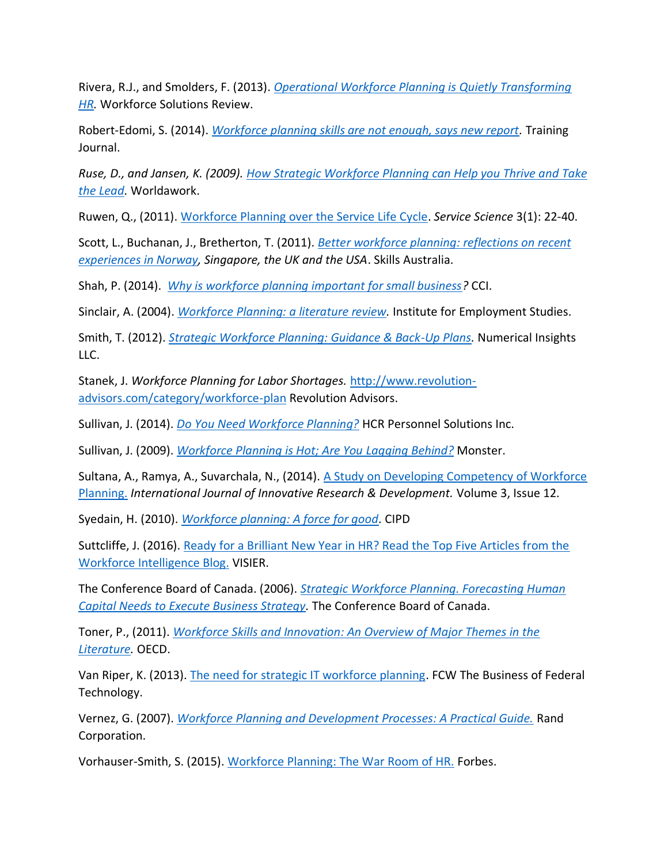Rivera, R.J., and Smolders, F. (2013). *[Operational Workforce Planning is Quietly Transforming](http://www.ihrimpublications.com/WSR_Online_Archives/WSR_AprMay13_Smolders_and_Rivera.pdf)  [HR.](http://www.ihrimpublications.com/WSR_Online_Archives/WSR_AprMay13_Smolders_and_Rivera.pdf)* Workforce Solutions Review.

Robert-Edomi, S. (2014). *[Workforce planning skills are not enough, says new report.](https://www.trainingjournal.com/articles/news/workforce-planning-skills-are-not-enough-says-new-report)* Training Journal.

*Ruse, D., and Jansen, K. (2009). [How Strategic Workforce Planning can Help you Thrive and Take](http://www.aruspex.com/PDF/articles/Aruspex_HowWorkforcePlanningCanHelpYouThrive.pdf)  [the Lead.](http://www.aruspex.com/PDF/articles/Aruspex_HowWorkforcePlanningCanHelpYouThrive.pdf)* Worldawork.

Ruwen, Q., (2011). [Workforce Planning over the Service Life Cycle.](http://pubsonline.informs.org/doi/pdf/10.1287/serv.3.1.22) *Service Science* 3(1): 22-40.

Scott, L., Buchanan, J., Bretherton, T. (2011). *[Better workforce planning: reflections on recent](http://www.industry.gov.au/skills/Publications/Documents/Better_Workforce_Planning_Paper-2011.pdf)  [experiences in Norway,](http://www.industry.gov.au/skills/Publications/Documents/Better_Workforce_Planning_Paper-2011.pdf) Singapore, the UK and the USA*. Skills Australia.

Shah, P. (2014). *[Why is workforce planning important for small business?](http://cciwa.com/about-us/CCI-News-Centre/Opinion-Pieces/opinion-pieces-articles/2014/11/24/why-is-workforce-planning-important-for-small-business)* CCI.

Sinclair, A. (2004). *[Workforce Planning: a literature review.](http://www.employment-studies.co.uk/system/files/resources/files/mp37.pdf)* Institute for Employment Studies.

Smith, T. (2012). *[Strategic Workforce Planning: Guidance & Back-Up Plans.](https://books.google.ca/books/about/Strategic_Workforce_Planning.html?id=pjW4J_19AqMC&redir_esc=y)* Numerical Insights LLC.

Stanek, J. *Workforce Planning for Labor Shortages.* [http://www.revolution](http://www.revolution-advisors.com/category/workforce-plan)[advisors.com/category/workforce-plan](http://www.revolution-advisors.com/category/workforce-plan) Revolution Advisors.

Sullivan, J. (2014). *[Do You Need Workforce Planning?](http://www.hcr.ca/pdfs/HCR_WorkforcePlanning.pdf)* HCR Personnel Solutions Inc.

Sullivan, J. (2009). *[Workforce Planning is Hot; Are You](http://www.eremedia.com/ere/workforce-planning-is-hot-are-you-lagging-behind/) Lagging Behind?* Monster.

Sultana, A., Ramya, A., Suvarchala, N., (2014). [A Study on Developing Competency of Workforce](http://www.ijird.com/index.php/ijird/article/viewFile/57737/45066)  [Planning.](http://www.ijird.com/index.php/ijird/article/viewFile/57737/45066) *International Journal of Innovative Research & Development.* Volume 3, Issue 12.

Syedain, H. (2010). *[Workforce planning: A force for good.](http://www.cipd.co.uk/pm/peoplemanagement/b/weblog/archive/2013/01/29/workforce-planning-a-force-for-good-2010-06.aspx)* CIPD

Suttcliffe, J. (2016). [Ready for a Brilliant New Year in HR? Read the Top Five Articles from the](https://www.linkedin.com/pulse/ready-brilliant-new-year-hr-read-top-five-articles-from-sutcliffe)  [Workforce Intelligence Blog.](https://www.linkedin.com/pulse/ready-brilliant-new-year-hr-read-top-five-articles-from-sutcliffe) VISIER.

The Conference Board of Canada. (2006). *[Strategic Workforce Planning. Forecasting Human](https://www.conference-board.org/topics/publicationdetail.cfm?publicationid=1203)  [Capital Needs to Execute Business Strategy.](https://www.conference-board.org/topics/publicationdetail.cfm?publicationid=1203)* The Conference Board of Canada.

Toner, P., (2011). *[Workforce Skills and Innovation: An Overview of Major Themes in the](http://www.oecd.org/innovation/inno/46970941.pdf)  [Literature.](http://www.oecd.org/innovation/inno/46970941.pdf)* OECD.

Van Riper, K. (2013). [The need for strategic IT workforce planning.](http://fcw.com/articles/2013/11/14/need-for-strategic-it-workforce-planning.aspx) FCW The Business of Federal Technology.

Vernez, G. (2007). *[Workforce Planning and Development Processes: A Practical Guide.](http://www.rand.org/pubs/technical_reports/TR408.html)* Rand Corporation.

Vorhauser-Smith, S. (2015). [Workforce Planning: The War Room of HR.](https://www.forbes.com/forbes/welcome/?toURL=https://www.forbes.com/sites/sylviavorhausersmith/2015/05/2) Forbes.